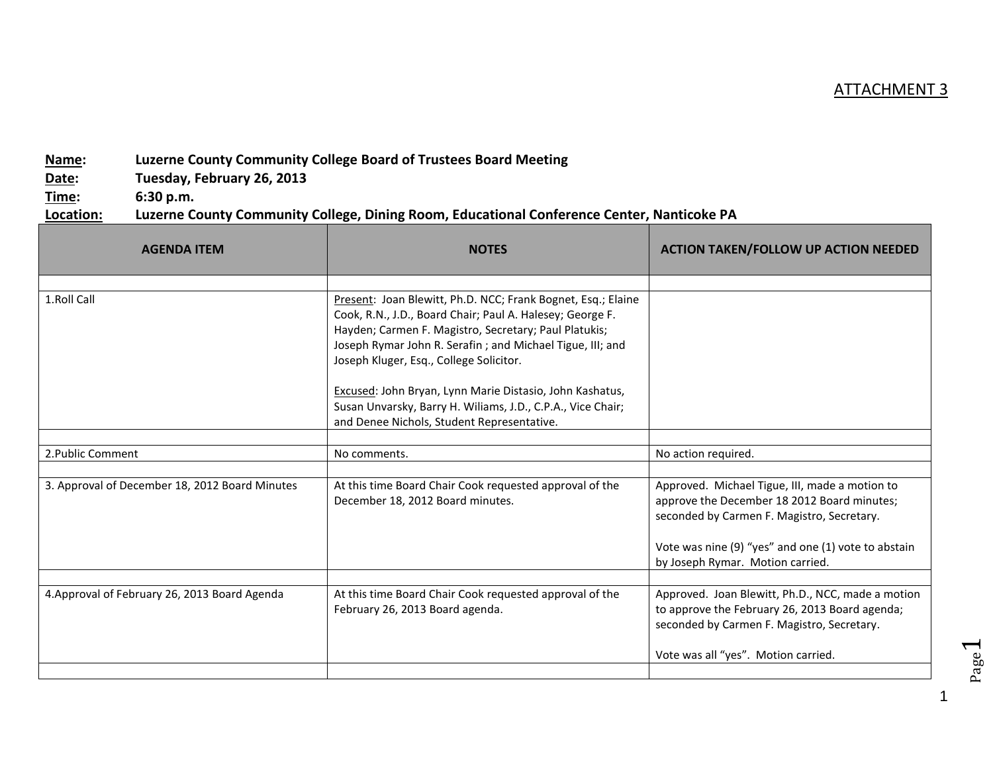## ATTACHMENT 3

## **Name: Luzerne County Community College Board of Trustees Board Meeting**

**Date: Tuesday, February 26, 2013**

**Time: 6:30 p.m.**

## **Location: Luzerne County Community College, Dining Room, Educational Conference Center, Nanticoke PA**

| <b>NOTES</b>                                                                                                                                                                                                                                                                                                                                          | <b>ACTION TAKEN/FOLLOW UP ACTION NEEDED</b>                                                                                                                                                                                            |
|-------------------------------------------------------------------------------------------------------------------------------------------------------------------------------------------------------------------------------------------------------------------------------------------------------------------------------------------------------|----------------------------------------------------------------------------------------------------------------------------------------------------------------------------------------------------------------------------------------|
|                                                                                                                                                                                                                                                                                                                                                       |                                                                                                                                                                                                                                        |
| Cook, R.N., J.D., Board Chair; Paul A. Halesey; George F.<br>Hayden; Carmen F. Magistro, Secretary; Paul Platukis;<br>Joseph Rymar John R. Serafin; and Michael Tigue, III; and<br>Joseph Kluger, Esq., College Solicitor.<br>Excused: John Bryan, Lynn Marie Distasio, John Kashatus,<br>Susan Unvarsky, Barry H. Wiliams, J.D., C.P.A., Vice Chair; |                                                                                                                                                                                                                                        |
|                                                                                                                                                                                                                                                                                                                                                       |                                                                                                                                                                                                                                        |
| No comments.                                                                                                                                                                                                                                                                                                                                          | No action required.                                                                                                                                                                                                                    |
|                                                                                                                                                                                                                                                                                                                                                       |                                                                                                                                                                                                                                        |
| At this time Board Chair Cook requested approval of the<br>December 18, 2012 Board minutes.                                                                                                                                                                                                                                                           | Approved. Michael Tigue, III, made a motion to<br>approve the December 18 2012 Board minutes;<br>seconded by Carmen F. Magistro, Secretary.<br>Vote was nine (9) "yes" and one (1) vote to abstain<br>by Joseph Rymar. Motion carried. |
|                                                                                                                                                                                                                                                                                                                                                       |                                                                                                                                                                                                                                        |
| At this time Board Chair Cook requested approval of the<br>February 26, 2013 Board agenda.                                                                                                                                                                                                                                                            | Approved. Joan Blewitt, Ph.D., NCC, made a motion<br>to approve the February 26, 2013 Board agenda;<br>seconded by Carmen F. Magistro, Secretary.                                                                                      |
|                                                                                                                                                                                                                                                                                                                                                       | Vote was all "yes". Motion carried.                                                                                                                                                                                                    |
|                                                                                                                                                                                                                                                                                                                                                       | Present: Joan Blewitt, Ph.D. NCC; Frank Bognet, Esq.; Elaine<br>and Denee Nichols, Student Representative.                                                                                                                             |

1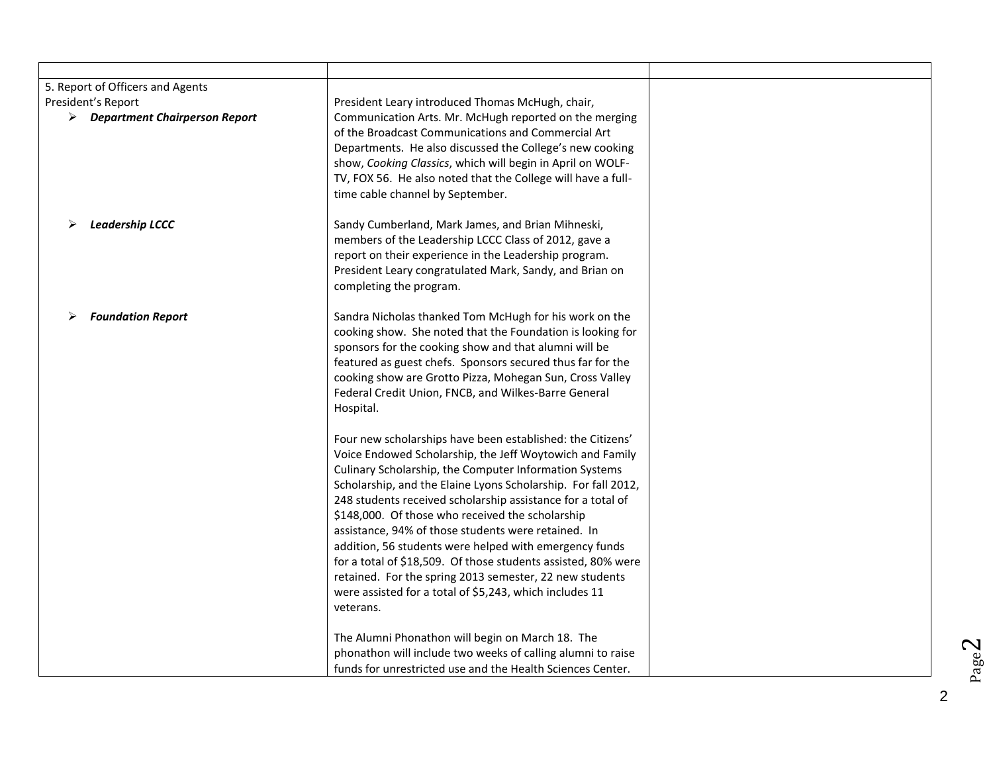| 5. Report of Officers and Agents                                     |                                                                                                                                                                                                                                                                                                                                                                                                                                                                                                                                                                                                                                                                                           |  |
|----------------------------------------------------------------------|-------------------------------------------------------------------------------------------------------------------------------------------------------------------------------------------------------------------------------------------------------------------------------------------------------------------------------------------------------------------------------------------------------------------------------------------------------------------------------------------------------------------------------------------------------------------------------------------------------------------------------------------------------------------------------------------|--|
| President's Report<br>$\triangleright$ Department Chairperson Report | President Leary introduced Thomas McHugh, chair,<br>Communication Arts. Mr. McHugh reported on the merging<br>of the Broadcast Communications and Commercial Art<br>Departments. He also discussed the College's new cooking<br>show, Cooking Classics, which will begin in April on WOLF-<br>TV, FOX 56. He also noted that the College will have a full-<br>time cable channel by September.                                                                                                                                                                                                                                                                                            |  |
| <b>Leadership LCCC</b>                                               | Sandy Cumberland, Mark James, and Brian Mihneski,<br>members of the Leadership LCCC Class of 2012, gave a<br>report on their experience in the Leadership program.<br>President Leary congratulated Mark, Sandy, and Brian on<br>completing the program.                                                                                                                                                                                                                                                                                                                                                                                                                                  |  |
| <b>Foundation Report</b>                                             | Sandra Nicholas thanked Tom McHugh for his work on the<br>cooking show. She noted that the Foundation is looking for<br>sponsors for the cooking show and that alumni will be<br>featured as guest chefs. Sponsors secured thus far for the<br>cooking show are Grotto Pizza, Mohegan Sun, Cross Valley<br>Federal Credit Union, FNCB, and Wilkes-Barre General<br>Hospital.                                                                                                                                                                                                                                                                                                              |  |
|                                                                      | Four new scholarships have been established: the Citizens'<br>Voice Endowed Scholarship, the Jeff Woytowich and Family<br>Culinary Scholarship, the Computer Information Systems<br>Scholarship, and the Elaine Lyons Scholarship. For fall 2012,<br>248 students received scholarship assistance for a total of<br>\$148,000. Of those who received the scholarship<br>assistance, 94% of those students were retained. In<br>addition, 56 students were helped with emergency funds<br>for a total of \$18,509. Of those students assisted, 80% were<br>retained. For the spring 2013 semester, 22 new students<br>were assisted for a total of \$5,243, which includes 11<br>veterans. |  |
|                                                                      | The Alumni Phonathon will begin on March 18. The<br>phonathon will include two weeks of calling alumni to raise<br>funds for unrestricted use and the Health Sciences Center.                                                                                                                                                                                                                                                                                                                                                                                                                                                                                                             |  |

Page2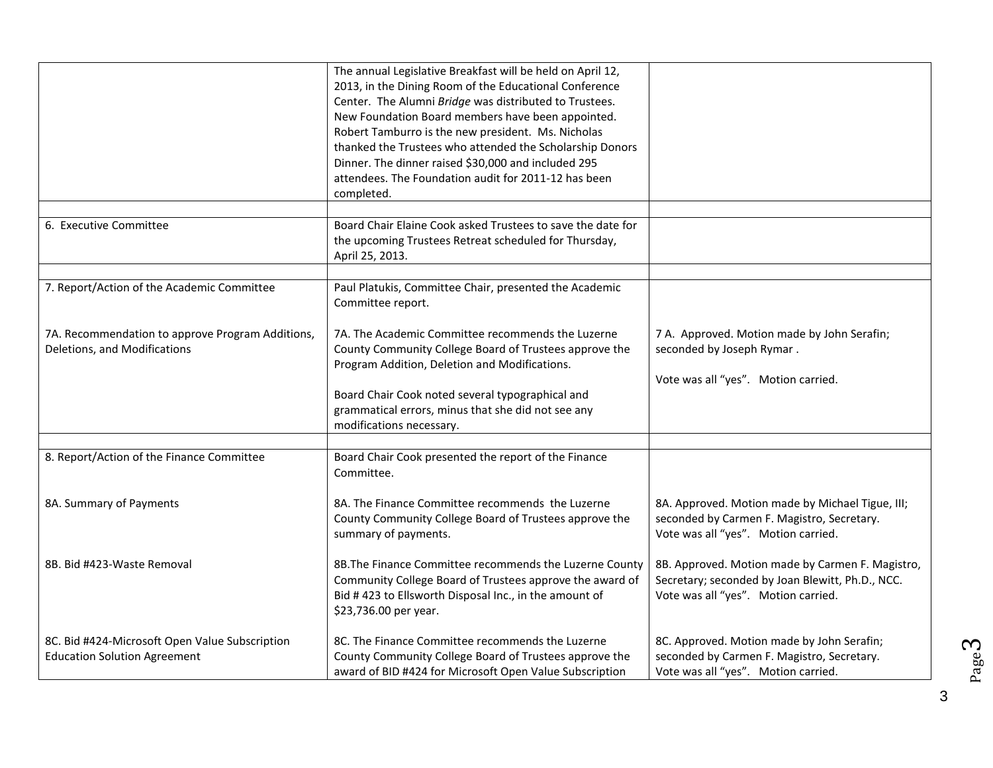|                                                                                       | The annual Legislative Breakfast will be held on April 12,<br>2013, in the Dining Room of the Educational Conference<br>Center. The Alumni Bridge was distributed to Trustees.<br>New Foundation Board members have been appointed.<br>Robert Tamburro is the new president. Ms. Nicholas<br>thanked the Trustees who attended the Scholarship Donors<br>Dinner. The dinner raised \$30,000 and included 295<br>attendees. The Foundation audit for 2011-12 has been<br>completed. |                                                                                                                                             |
|---------------------------------------------------------------------------------------|------------------------------------------------------------------------------------------------------------------------------------------------------------------------------------------------------------------------------------------------------------------------------------------------------------------------------------------------------------------------------------------------------------------------------------------------------------------------------------|---------------------------------------------------------------------------------------------------------------------------------------------|
| 6. Executive Committee                                                                | Board Chair Elaine Cook asked Trustees to save the date for<br>the upcoming Trustees Retreat scheduled for Thursday,<br>April 25, 2013.                                                                                                                                                                                                                                                                                                                                            |                                                                                                                                             |
| 7. Report/Action of the Academic Committee                                            | Paul Platukis, Committee Chair, presented the Academic<br>Committee report.                                                                                                                                                                                                                                                                                                                                                                                                        |                                                                                                                                             |
| 7A. Recommendation to approve Program Additions,<br>Deletions, and Modifications      | 7A. The Academic Committee recommends the Luzerne<br>County Community College Board of Trustees approve the<br>Program Addition, Deletion and Modifications.<br>Board Chair Cook noted several typographical and<br>grammatical errors, minus that she did not see any<br>modifications necessary.                                                                                                                                                                                 | 7 A. Approved. Motion made by John Serafin;<br>seconded by Joseph Rymar.<br>Vote was all "yes". Motion carried.                             |
| 8. Report/Action of the Finance Committee                                             | Board Chair Cook presented the report of the Finance<br>Committee.                                                                                                                                                                                                                                                                                                                                                                                                                 |                                                                                                                                             |
| 8A. Summary of Payments                                                               | 8A. The Finance Committee recommends the Luzerne<br>County Community College Board of Trustees approve the<br>summary of payments.                                                                                                                                                                                                                                                                                                                                                 | 8A. Approved. Motion made by Michael Tigue, III;<br>seconded by Carmen F. Magistro, Secretary.<br>Vote was all "yes". Motion carried.       |
| 8B. Bid #423-Waste Removal                                                            | 8B. The Finance Committee recommends the Luzerne County<br>Community College Board of Trustees approve the award of<br>Bid #423 to Ellsworth Disposal Inc., in the amount of<br>\$23,736.00 per year.                                                                                                                                                                                                                                                                              | 8B. Approved. Motion made by Carmen F. Magistro,<br>Secretary; seconded by Joan Blewitt, Ph.D., NCC.<br>Vote was all "yes". Motion carried. |
| 8C. Bid #424-Microsoft Open Value Subscription<br><b>Education Solution Agreement</b> | 8C. The Finance Committee recommends the Luzerne<br>County Community College Board of Trustees approve the<br>award of BID #424 for Microsoft Open Value Subscription                                                                                                                                                                                                                                                                                                              | 8C. Approved. Motion made by John Serafin;<br>seconded by Carmen F. Magistro, Secretary.<br>Vote was all "yes". Motion carried.             |

3